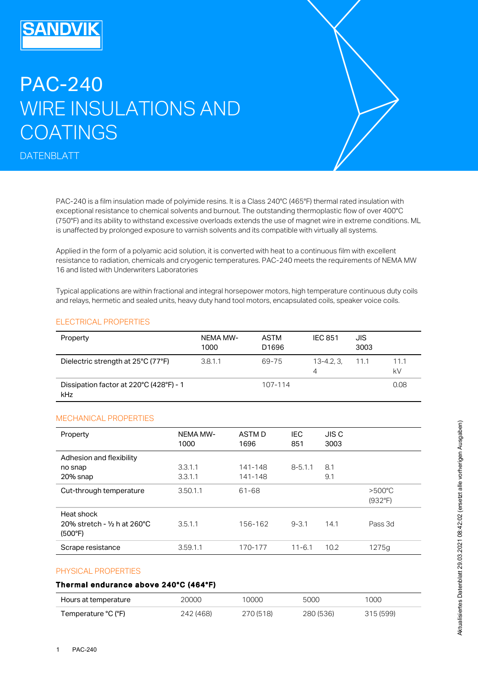# PAC-240 WIRE INSULATIONS AND COATINGS

DATENBLATT

PAC-240 is a film insulation made of polyimide resins. It is a Class 240°C (465°F) thermal rated insulation with exceptional resistance to chemical solvents and burnout. The outstanding thermoplastic flow of over 400°C (750°F) and its ability to withstand excessive overloads extends the use of magnet wire in extreme conditions. ML is unaffected by prolonged exposure to varnish solvents and its compatible with virtually all systems.

Applied in the form of a polyamic acid solution, it is converted with heat to a continuous film with excellent resistance to radiation, chemicals and cryogenic temperatures. PAC-240 meets the requirements of NEMA MW 16 and listed with Underwriters Laboratories

Typical applications are within fractional and integral horsepower motors, high temperature continuous duty coils and relays, hermetic and sealed units, heavy duty hand tool motors, encapsulated coils, speaker voice coils.

## ELECTRICAL PROPERTIES

| Property                                       | NEMA MW-<br>1000 | <b>ASTM</b><br>D1696 | <b>IEC 851</b>  | JIS<br>3003 |            |
|------------------------------------------------|------------------|----------------------|-----------------|-------------|------------|
| Dielectric strength at 25°C (77°F)             | 3.8.1.1          | 69-75                | 13-4.2, 3,<br>4 | 11.1        | 11.1<br>kV |
| Dissipation factor at 220°C (428°F) - 1<br>kHz |                  | 107-114              |                 |             | 0.08       |

### MECHANICAL PROPERTIES

| Property                                              | NEMA MW-<br>1000 | ASTM D<br>1696 | <b>IEC</b><br>851 | <b>JISC</b><br>3003 |                             |
|-------------------------------------------------------|------------------|----------------|-------------------|---------------------|-----------------------------|
| Adhesion and flexibility                              | 3.3.1.1          | 141-148        | $8 - 5.1.1$       | 8.1                 |                             |
| no snap<br>20% snap                                   | 3.3.1.1          | 141-148        |                   | 9.1                 |                             |
| Cut-through temperature                               | 3.50.1.1         | 61-68          |                   |                     | $>500^{\circ}$ C<br>(932°F) |
| Heat shock<br>20% stretch - 1/2 h at 260°C<br>(500°F) | 3.5.1.1          | 156-162        | $9 - 3.1$         | 14.1                | Pass 3d                     |
| Scrape resistance                                     | 3.59.1.1         | 170-177        | $11 - 6.1$        | 10.2                | 1275g                       |

### PHYSICAL PROPERTIES

### Thermal endurance above 240°C (464°F)

| Hours at temperature  | 20000     | 10000     | 5000      | 1000      |
|-----------------------|-----------|-----------|-----------|-----------|
| Temperature °C (°F) · | 242 (468) | 270 (518) | 280 (536) | 315 (599) |